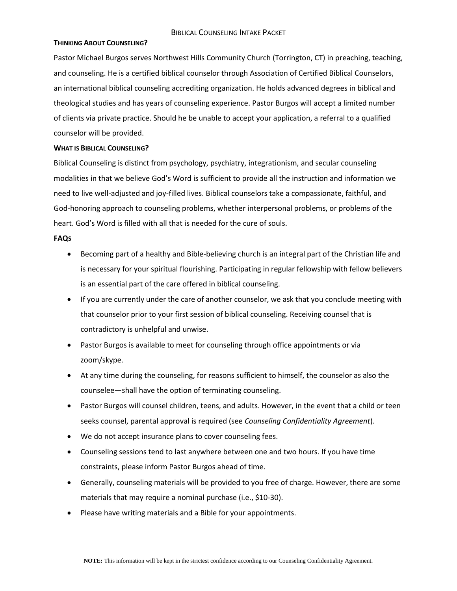#### **THINKING ABOUT COUNSELING?**

Pastor Michael Burgos serves Northwest Hills Community Church (Torrington, CT) in preaching, teaching, and counseling. He is a certified biblical counselor through Association of Certified Biblical Counselors, an international biblical counseling accrediting organization. He holds advanced degrees in biblical and theological studies and has years of counseling experience. Pastor Burgos will accept a limited number of clients via private practice. Should he be unable to accept your application, a referral to a qualified counselor will be provided.

#### **WHAT IS BIBLICAL COUNSELING?**

Biblical Counseling is distinct from psychology, psychiatry, integrationism, and secular counseling modalities in that we believe God's Word is sufficient to provide all the instruction and information we need to live well-adjusted and joy-filled lives. Biblical counselors take a compassionate, faithful, and God-honoring approach to counseling problems, whether interpersonal problems, or problems of the heart. God's Word is filled with all that is needed for the cure of souls.

#### **FAQS**

- Becoming part of a healthy and Bible-believing church is an integral part of the Christian life and is necessary for your spiritual flourishing. Participating in regular fellowship with fellow believers is an essential part of the care offered in biblical counseling.
- If you are currently under the care of another counselor, we ask that you conclude meeting with that counselor prior to your first session of biblical counseling. Receiving counsel that is contradictory is unhelpful and unwise.
- Pastor Burgos is available to meet for counseling through office appointments or via zoom/skype.
- At any time during the counseling, for reasons sufficient to himself, the counselor as also the counselee—shall have the option of terminating counseling.
- Pastor Burgos will counsel children, teens, and adults. However, in the event that a child or teen seeks counsel, parental approval is required (see *Counseling Confidentiality Agreement*).
- We do not accept insurance plans to cover counseling fees.
- Counseling sessions tend to last anywhere between one and two hours. If you have time constraints, please inform Pastor Burgos ahead of time.
- Generally, counseling materials will be provided to you free of charge. However, there are some materials that may require a nominal purchase (i.e., \$10-30).
- Please have writing materials and a Bible for your appointments.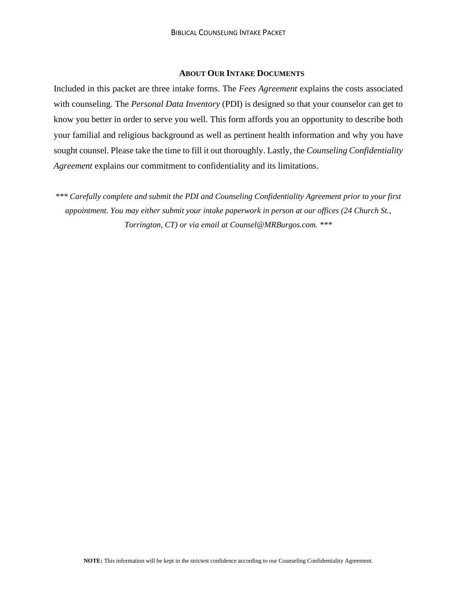### **ABOUT OUR INTAKE DOCUMENTS**

Included in this packet are three intake forms. The *Fees Agreement* explains the costs associated with counseling. The *Personal Data Inventory* (PDI) is designed so that your counselor can get to know you better in order to serve you well. This form affords you an opportunity to describe both your familial and religious background as well as pertinent health information and why you have sought counsel. Please take the time to fill it out thoroughly. Lastly, the *Counseling Confidentiality Agreement* explains our commitment to confidentiality and its limitations.

*\*\*\* Carefully complete and submit the PDI and Counseling Confidentiality Agreement prior to your first appointment. You may either submit your intake paperwork in person at our offices (24 Church St., Torrington, CT) or via email at Counsel@MRBurgos.com. \*\*\**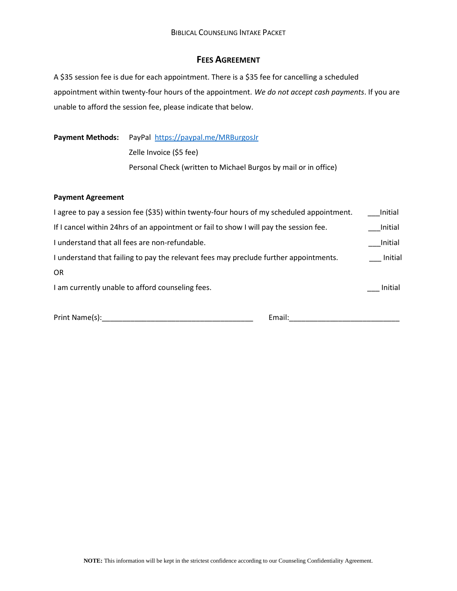### **FEES AGREEMENT**

A \$35 session fee is due for each appointment. There is a \$35 fee for cancelling a scheduled appointment within twenty-four hours of the appointment. *We do not accept cash payments*. If you are unable to afford the session fee, please indicate that below.

Payment Methods: PayPal <https://paypal.me/MRBurgosJr>

Zelle Invoice (\$5 fee)

Personal Check (written to Michael Burgos by mail or in office)

#### **Payment Agreement**

| I agree to pay a session fee (\$35) within twenty-four hours of my scheduled appointment. | Initial |
|-------------------------------------------------------------------------------------------|---------|
| If I cancel within 24hrs of an appointment or fail to show I will pay the session fee.    | Initial |
| I understand that all fees are non-refundable.                                            | Initial |
| I understand that failing to pay the relevant fees may preclude further appointments.     | Initial |
| <b>OR</b>                                                                                 |         |
| I am currently unable to afford counseling fees.                                          | Initial |

Print Name(s):\_\_\_\_\_\_\_\_\_\_\_\_\_\_\_\_\_\_\_\_\_\_\_\_\_\_\_\_\_\_\_\_\_\_\_\_\_ Email:\_\_\_\_\_\_\_\_\_\_\_\_\_\_\_\_\_\_\_\_\_\_\_\_\_\_\_

| Print Name(s): |  |
|----------------|--|
|                |  |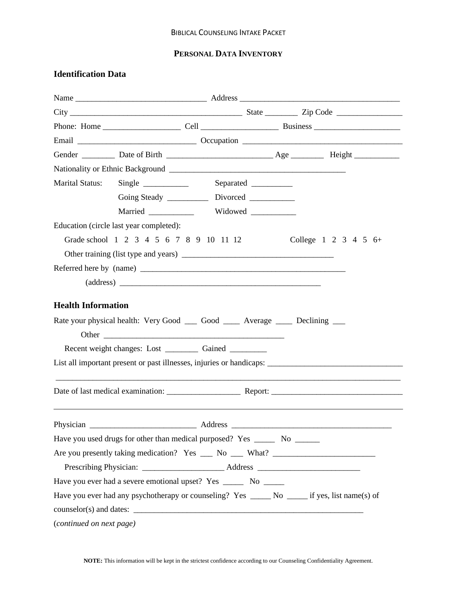# **PERSONAL DATA INVENTORY**

# **Identification Data**

| <b>Marital Status:</b>   |                                                                                                |         | Separated __________ |                      |
|--------------------------|------------------------------------------------------------------------------------------------|---------|----------------------|----------------------|
|                          |                                                                                                |         |                      |                      |
|                          | Married Widowed                                                                                |         |                      |                      |
|                          | Education (circle last year completed):                                                        |         |                      |                      |
|                          | Grade school 1 2 3 4 5 6 7 8 9 10 11 12                                                        |         |                      | College 1 2 3 4 5 6+ |
|                          |                                                                                                |         |                      |                      |
|                          |                                                                                                |         |                      |                      |
|                          |                                                                                                |         |                      |                      |
|                          | Rate your physical health: Very Good ______ Good _______ Average _______ Declining ____        |         |                      |                      |
|                          |                                                                                                |         |                      |                      |
|                          |                                                                                                |         |                      |                      |
|                          |                                                                                                |         |                      |                      |
| Physician                |                                                                                                | Address |                      |                      |
|                          | Have you used drugs for other than medical purposed? Yes ________ No ________                  |         |                      |                      |
|                          | Are you presently taking medication? Yes __ No __ What? _________________________              |         |                      |                      |
|                          |                                                                                                |         |                      |                      |
|                          | Have you ever had a severe emotional upset? Yes ________ No _______                            |         |                      |                      |
|                          | Have you ever had any psychotherapy or counseling? Yes ______ No _____ if yes, list name(s) of |         |                      |                      |
|                          |                                                                                                |         |                      |                      |
| (continued on next page) |                                                                                                |         |                      |                      |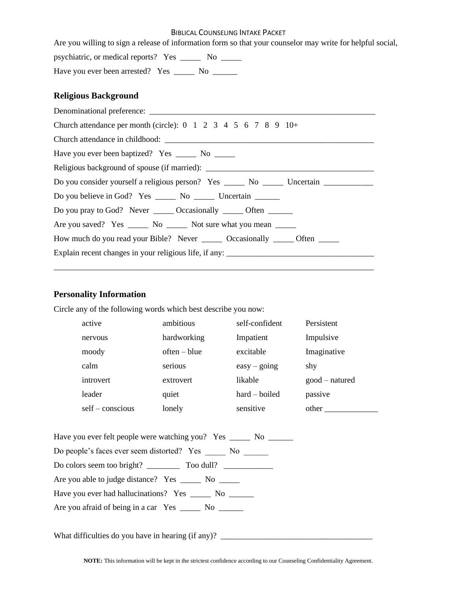#### BIBLICAL COUNSELING INTAKE PACKET

Are you willing to sign a release of information form so that your counselor may write for helpful social,

psychiatric, or medical reports? Yes \_\_\_\_\_ No \_\_\_\_\_

Have you ever been arrested? Yes \_\_\_\_\_\_ No \_\_\_\_\_\_

## **Religious Background**

| Church attendance per month (circle): $0 \t1 \t2 \t3 \t4 \t5 \t6 \t7 \t8 \t9 \t10+$                  |
|------------------------------------------------------------------------------------------------------|
|                                                                                                      |
| Have you ever been baptized? Yes ________ No _______                                                 |
| Religious background of spouse (if married): ___________________________________                     |
| Do you consider yourself a religious person? Yes _______ No ________ Uncertain _____________________ |
| Do you believe in God? Yes ________ No _________ Uncertain _______                                   |
| Do you pray to God? Never _______ Occasionally _______ Often _______                                 |
| Are you saved? Yes ________ No ________ Not sure what you mean _______                               |
| How much do you read your Bible? Never _________ Occasionally _______ Often _______                  |
| Explain recent changes in your religious life, if any: __________________________                    |
|                                                                                                      |

# **Personality Information**

Circle any of the following words which best describe you now:

| active           | ambitious      | self-confident  | Persistent     |
|------------------|----------------|-----------------|----------------|
| nervous          | hardworking    | Impatient       | Impulsive      |
| moody            | $often - blue$ | excitable       | Imaginative    |
| calm             | serious        | $easy - going$  | shy            |
| introvert        | extrovert      | likable         | $good-natured$ |
| leader           | quiet          | $hard - boiled$ | passive        |
| $self-conscious$ | lonely         | sensitive       | other          |

| Have you ever felt people were watching you? Yes ______ No ______ |
|-------------------------------------------------------------------|
| Do people's faces ever seem distorted? Yes No                     |
|                                                                   |
| Are you able to judge distance? Yes _______ No ______             |
| Have you ever had hallucinations? Yes _______ No _______          |
|                                                                   |

What difficulties do you have in hearing (if any)? \_\_\_\_\_\_\_\_\_\_\_\_\_\_\_\_\_\_\_\_\_\_\_\_\_\_\_\_\_\_\_\_\_\_\_\_\_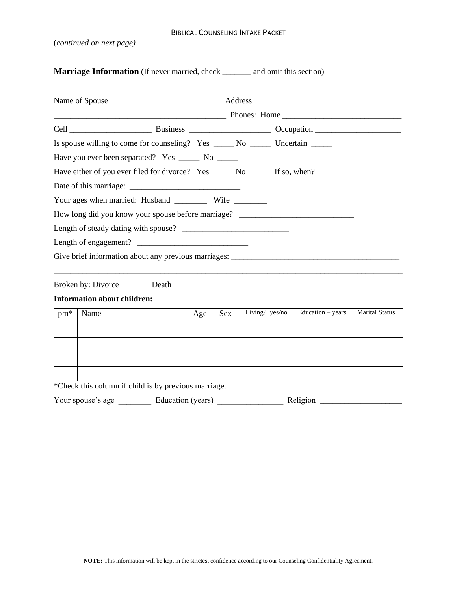#### BIBLICAL COUNSELING INTAKE PACKET

(*continued on next page)*

**Marriage Information** (If never married, check \_\_\_\_\_\_ and omit this section)

|                                             | Is spouse willing to come for counseling? Yes _______ No ________ Uncertain _____ |                                                                                                      |  |
|---------------------------------------------|-----------------------------------------------------------------------------------|------------------------------------------------------------------------------------------------------|--|
|                                             | Have you ever been separated? Yes ______ No ______                                |                                                                                                      |  |
|                                             |                                                                                   | Have either of you ever filed for divorce? Yes ______ No ______ If so, when? _______________________ |  |
|                                             |                                                                                   |                                                                                                      |  |
|                                             |                                                                                   |                                                                                                      |  |
|                                             |                                                                                   | How long did you know your spouse before marriage? _____________________________                     |  |
|                                             |                                                                                   |                                                                                                      |  |
|                                             |                                                                                   |                                                                                                      |  |
|                                             |                                                                                   |                                                                                                      |  |
| Broken by: Divorce __________ Death _______ |                                                                                   |                                                                                                      |  |
| <b>Information about children:</b>          |                                                                                   |                                                                                                      |  |

| $pm*$ | Name | Age | Sex | Living? yes/no | Education - years | <b>Marital Status</b> |
|-------|------|-----|-----|----------------|-------------------|-----------------------|
|       |      |     |     |                |                   |                       |
|       |      |     |     |                |                   |                       |
|       |      |     |     |                |                   |                       |
|       |      |     |     |                |                   |                       |

\*Check this column if child is by previous marriage.

| Your spouse's age | Education (years) | Religion |  |
|-------------------|-------------------|----------|--|
|-------------------|-------------------|----------|--|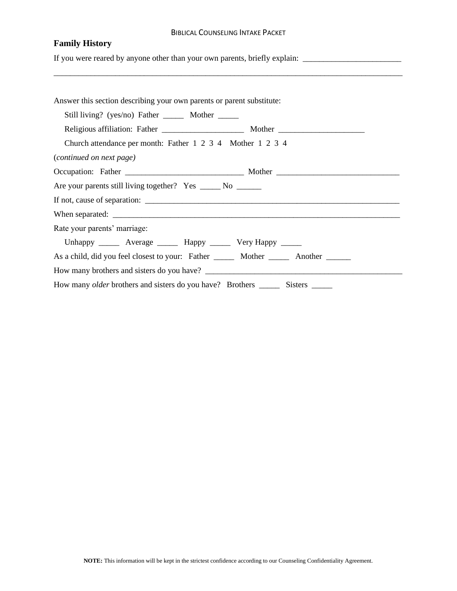#### BIBLICAL COUNSELING INTAKE PACKET

# **Family History**

If you were reared by anyone other than your own parents, briefly explain: \_\_\_\_\_\_\_\_\_\_\_\_\_\_\_\_\_\_\_\_\_\_\_\_\_\_\_\_\_\_\_\_\_\_\_

| Answer this section describing your own parents or parent substitute:                         |  |
|-----------------------------------------------------------------------------------------------|--|
| Still living? (yes/no) Father ________ Mother ______                                          |  |
|                                                                                               |  |
| Church attendance per month: Father 1 2 3 4 Mother 1 2 3 4                                    |  |
| (continued on next page)                                                                      |  |
|                                                                                               |  |
| Are your parents still living together? Yes ______ No _______                                 |  |
|                                                                                               |  |
|                                                                                               |  |
| Rate your parents' marriage:                                                                  |  |
| Unhappy _______ Average _______ Happy _______ Very Happy ______                               |  |
| As a child, did you feel closest to your: Father _________ Mother __________ Another ________ |  |
| How many brothers and sisters do you have?                                                    |  |
|                                                                                               |  |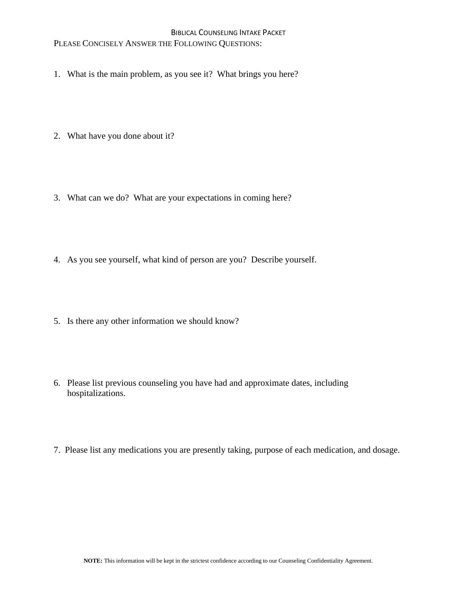### BIBLICAL COUNSELING INTAKE PACKET PLEASE CONCISELY ANSWER THE FOLLOWING QUESTIONS:

- 1. What is the main problem, as you see it? What brings you here?
- 2. What have you done about it?
- 3. What can we do? What are your expectations in coming here?
- 4. As you see yourself, what kind of person are you? Describe yourself.
- 5. Is there any other information we should know?
- 6. Please list previous counseling you have had and approximate dates, including hospitalizations.
- 7. Please list any medications you are presently taking, purpose of each medication, and dosage.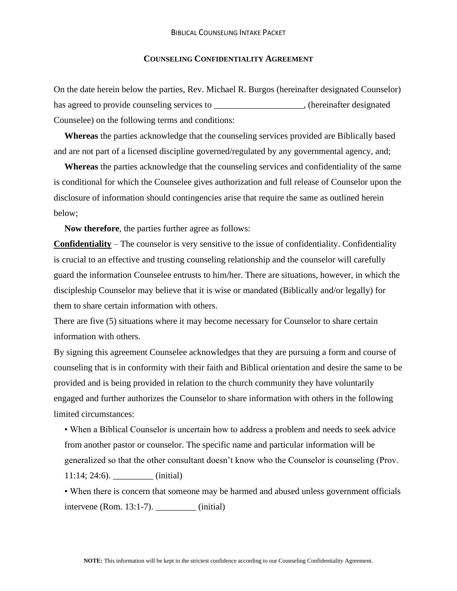#### **COUNSELING CONFIDENTIALITY AGREEMENT**

On the date herein below the parties, Rev. Michael R. Burgos (hereinafter designated Counselor) has agreed to provide counseling services to \_\_\_\_\_\_\_\_\_\_\_\_\_\_\_\_\_\_\_, (hereinafter designated Counselee) on the following terms and conditions:

**Whereas** the parties acknowledge that the counseling services provided are Biblically based and are not part of a licensed discipline governed/regulated by any governmental agency, and;

**Whereas** the parties acknowledge that the counseling services and confidentiality of the same is conditional for which the Counselee gives authorization and full release of Counselor upon the disclosure of information should contingencies arise that require the same as outlined herein below;

**Now therefore**, the parties further agree as follows:

**Confidentiality** – The counselor is very sensitive to the issue of confidentiality. Confidentiality is crucial to an effective and trusting counseling relationship and the counselor will carefully guard the information Counselee entrusts to him/her. There are situations, however, in which the discipleship Counselor may believe that it is wise or mandated (Biblically and/or legally) for them to share certain information with others.

There are five (5) situations where it may become necessary for Counselor to share certain information with others.

By signing this agreement Counselee acknowledges that they are pursuing a form and course of counseling that is in conformity with their faith and Biblical orientation and desire the same to be provided and is being provided in relation to the church community they have voluntarily engaged and further authorizes the Counselor to share information with others in the following limited circumstances:

• When a Biblical Counselor is uncertain how to address a problem and needs to seek advice from another pastor or counselor. The specific name and particular information will be generalized so that the other consultant doesn't know who the Counselor is counseling (Prov. 11:14; 24:6). \_\_\_\_\_\_\_\_\_ (initial)

• When there is concern that someone may be harmed and abused unless government officials intervene (Rom. 13:1-7). \_\_\_\_\_\_\_\_\_ (initial)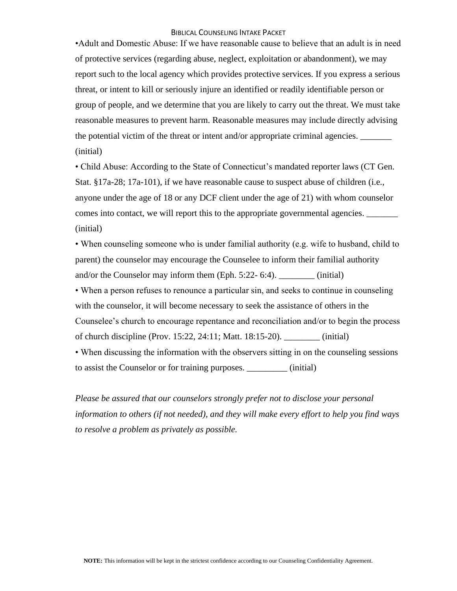•Adult and Domestic Abuse: If we have reasonable cause to believe that an adult is in need of protective services (regarding abuse, neglect, exploitation or abandonment), we may report such to the local agency which provides protective services. If you express a serious threat, or intent to kill or seriously injure an identified or readily identifiable person or group of people, and we determine that you are likely to carry out the threat. We must take reasonable measures to prevent harm. Reasonable measures may include directly advising the potential victim of the threat or intent and/or appropriate criminal agencies. (initial)

• Child Abuse: According to the State of Connecticut's mandated reporter laws (CT Gen. Stat. §17a-28; 17a-101), if we have reasonable cause to suspect abuse of children (i.e., anyone under the age of 18 or any DCF client under the age of 21) with whom counselor comes into contact, we will report this to the appropriate governmental agencies. \_\_\_\_\_\_\_\_\_\_\_\_\_\_\_\_\_\_\_\_\_\_\_\_\_\_\_\_ (initial)

• When counseling someone who is under familial authority (e.g. wife to husband, child to parent) the counselor may encourage the Counselee to inform their familial authority and/or the Counselor may inform them (Eph. 5:22- 6:4). \_\_\_\_\_\_\_\_ (initial)

• When a person refuses to renounce a particular sin, and seeks to continue in counseling with the counselor, it will become necessary to seek the assistance of others in the Counselee's church to encourage repentance and reconciliation and/or to begin the process of church discipline (Prov. 15:22, 24:11; Matt. 18:15-20). (initial)

• When discussing the information with the observers sitting in on the counseling sessions to assist the Counselor or for training purposes. \_\_\_\_\_\_\_\_\_ (initial)

*Please be assured that our counselors strongly prefer not to disclose your personal information to others (if not needed), and they will make every effort to help you find ways to resolve a problem as privately as possible.*